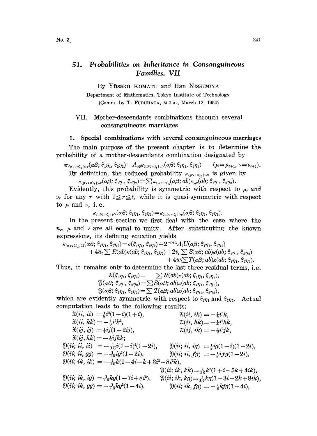## Probabilities on Inheritance in Consanguineous 51. Families. VII

By Yûsaku KOMATU and Han NISHIMIYA

Department of Mathematics, Tokyo Institute of Technology (Comm. by T. FURUHATA, M.J.A., March 12, 1954)

VII. Mother-descendants combinations through several consanguineous marriages

## 1. Special combinations with several consanguineous marriages

The main purpose of the present chapter is to determine the probability of a mother-descendants combination designated by

$$
\pi_{\langle\mu\nu;\,n\rangle_t|\mu\nu\rangle}(a\beta;\,\xi_{1}\eta_1,\,\xi_{2}\eta_2)\equiv\overline{A}_{a\beta}\kappa_{\langle\mu\nu;\,n\rangle_t|\mu\nu}(a\beta;\,\xi_{1}\eta_1,\,\xi_{2}\eta_2)\qquad(\mu=\mu_{t+1},\,\nu=\nu_{t+1}).
$$

By definition, the reduced probability  $\kappa_{(\mu\nu)}$ ,  $\kappa_{(\mu\nu)}$  is given by  $\kappa_{(\mu\nu)}$ ,  $\kappa_{(\mu\nu)}$ ,  $\kappa_{(\mu\nu)}$ ,  $\kappa_{(\mu\nu)}$ ,  $\kappa_{(\mu\nu)}$ ,  $\kappa_{(\mu\nu)}$ ,  $\kappa_{(\mu\nu)}$ ,  $\kappa_{(\mu\nu)}$ ,  $\kappa_{(\mu\nu)}$ ,  $\kappa_{(\mu\nu)}$ ,  $\kappa_{(\mu\nu)}$ ,  $\$ 

Evidently, this probability is symmetric with respect to  $\mu_r$  and  $\nu_r$  for any r with  $1 \leq r \leq t$ , while it is quasi-symmetric with respect to  $\mu$  and  $\nu$ , i.e.

$$
\kappa_{\scriptscriptstyle (\mu\nu;\; n)_{\scriptscriptstyle \tilde{t}}\,|\,\mu\nu}(\alpha\beta;\; \xi_1\eta_1,\; \xi_2\eta_2)\!=\!\kappa_{\scriptscriptstyle (\mu\nu;\; n)_{\scriptscriptstyle \tilde{t}}\,|\, \nu\mu}(\alpha\beta;\; \xi_2\eta_2,\; \xi_1\eta_1).
$$

In the present section we first deal with the ease where the  $n_r$ ,  $\mu$  and  $\nu$  are all equal to unity. After substituting the known expressions, its defining equation yields

 $\kappa_{\text{(µv; 1)}_t[1]}(\alpha\beta; \xi_1\eta_1, \xi_2\eta_2) = \sigma(\xi_1\eta_1, \xi_2\eta_2) + 2^{-t+1} \Lambda_t U(\alpha\beta; \xi_1\eta_1, \xi_2\eta_2)$  $+4u_t\sum R(ab)\kappa(ab;\xi_1\eta_1,\xi_2\eta_2)+2v_t\sum S(\alpha\beta;ab)\kappa(ab;\xi_1\eta_1,\xi_2\eta_2)$  $+4w_t\Sigma T(\alpha\beta;ab)\kappa(ab;\xi_1\eta_1,\xi_2\eta_2).$ 

Thus, it remains only to determine the last three residual terms, i.e.

$$
\mathfrak{X}(\xi_1\eta_1,\xi_2\eta_2) = \sum R(ab)\kappa(ab;\xi_1\eta_1,\xi_2\eta_2),\\ \mathfrak{Y}(a\beta;\xi_1\eta_1,\xi_2\eta_2) = \sum S(a\beta;d)\kappa(ab;\xi_1\eta_1,\xi_2\eta_2),\\ \mathfrak{Z}(a\beta;\xi_1\eta_1,\xi_2\eta_2) = \sum T(a\beta;d)\kappa(ab;\xi_1\eta_1,\xi_2\eta_2),
$$

which are evidently symmetric with respect to  $\xi_{1}\eta_{1}$  and  $\xi_{2}\eta_{2}$ . Actual computation leads to the following results:

 $\begin{array}{lll} \mathfrak X(ii,\,ii)&\!\!\!=\!\!\frac{1}{8}i^2(1\!-\!i)(1\!+\!i), &\qquad & \mathfrak X(ii,\,ik)=-\frac{1}{4}i^3k,\ \mathfrak X(ii,\,kk)=-\frac{1}{8}i^2k^2,&\qquad & \mathfrak X(ii,\,hk)=-\frac{1}{4}i^2hk \end{array}$  $\mathfrak{X}(ii, hk) = -\frac{1}{4}i^2hk,$ <br> $\mathfrak{X}(ij, ik) = -\frac{1}{2}i^2jk,$  $\mathfrak{X}(i j, i j) = \pm i j(1 - 2i j),$  $\mathfrak{X}(ij, hk) = -\frac{1}{2} i j h k;$  $\mathbb{Y}(ii;\,ii,\,ii) \;\;=-\tfrac{1}{16}i(1-i)^2(1-2i), \qquad \mathbb{Y}(ii;\,ii,\,ig) \;\;=\tfrac{1}{8}ig(1-i)(1-2i),$  $\mathcal{Y}(ii; \, ii, \, gg) = -\frac{1}{16}ig^2(1-2i), \qquad \qquad \mathcal{Y}(ii; \, ii, \, fg) = -\frac{1}{8}ifg(1-2i),$  $\mathcal{Y}(ii; i k, i k) = -\frac{1}{16}k(1-4i-k+3i^2-8i^2k),$  $\mathcal{Y}(ii; i k, k k) = \frac{1}{16}k^2(1 + i - 5k + 4ik),$  $\mathfrak{D}(ii; i k, i g) = \frac{1}{16} k g(1-7i + 8i^2), \quad \mathfrak{D}(ii; i k, k g) = \frac{1}{16} k g(1-3i-2k+8i k),$  $\mathfrak{Y}(ii; i k, gg) = -\frac{1}{16}kg^2(1-4i),$   $\mathfrak{Y}(ii; i k, fg) = -\frac{1}{6}kfg(1-4i),$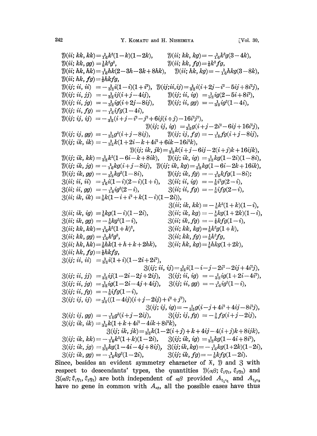$\mathcal{D}(ii; kk, kk) = \frac{1}{16}k^2(1-k)(1-2k),$  $\mathfrak{Y}(ii; kk, gg) = \frac{1}{8}k^2g^2$ ,  $\mathfrak{Y}(ii;\,hk,\,hk)=\frac{1}{16}hk(2-3h-3k+8hk),\ \ \ \ \ \mathfrak{Y}(ii;\,hk,\,kg)=-\frac{1}{16}hkg(3-8k),$  $\mathfrak{Y}(ii; hk, fg) = \frac{1}{2}hkfg,$  $\mathcal{Y}(ij; \, ii, \, ii) \; = -\frac{1}{32}i(1-i)(1+i^2), \; \mathcal{Y}(ij; ii, ij) = \frac{1}{32}i(i+2j-i^2-5ij+8i^2j),$  $\mathcal{Y}(y; \, \mathit{ii}, \,$  $\mathcal{Y}(ii; kk, kg) = -\frac{1}{16}k^2g(3-4k),$  $\mathfrak{Y}(ii; kk, fg) = \frac{1}{4}k^2fg,$  $\mathcal{Y}(ij; ii, jg) = -\frac{1}{3}ig(i+2j-8ij),$  $ii, fg$ ) =  $-\frac{1}{16}$ ifg(1-4i),  $ij, ij) = -\frac{1}{32}(i+j-i^2-j^2+6ij(i+j)-16i^2j^2),$  $\mathfrak{Y}(ij; \, ii, \, ig) = \frac{1}{32}ig(2-5i+8i^2),$  $\mathfrak{Y}(ii; ii, gg) = -\frac{1}{2g}ig^2(1-4i),$  $\mathfrak{Y}(ij; \, ij, \, ig) = \frac{1}{3g}g(i+j-2i^2-6ij+16i^2j),$  $\mathcal{Y}(ij; i j, gg) = -\frac{1}{35}g^2(i+j-8ij), \qquad \mathcal{Y}(ij; i j, fg) = -\frac{1}{16}fg(i+j-8ij),$  $\mathfrak{Y}(ij; i k, i k) = -\frac{1}{32}k(1 + 2i - k + 4i^2 + 6ik - 16i^2k),$  $\mathcal{Y}(ij; i k, j k) = \frac{1}{32}k(i+j-6ij-2(i+j)k+16ijk),$  $\mathfrak{Y}(ij; i k, k k) = \frac{1}{32}k^2(1-6i-k+8i k), \quad \mathfrak{Y}(ij; i k, i q) = \frac{1}{32}k g(1-2i)(1-8i),$  $\mathcal{Y}(ij; i k, j g) = -\frac{1}{16} k g(i+j-8ij), \quad \mathcal{Y}(ij; i k, k g) = \frac{1}{32} k g(1-6i-2k+16i k),$  $\mathfrak{Y}(ij; i k, gg) = -\frac{1}{33}kg^2(1-8i),$   $\mathfrak{Y}(ij; i k, fg) = -\frac{1}{16}kfg(1-8i);$  $\Im(i\vec{i}; i\vec{i}, i\vec{i}) = \frac{1}{16}i(1-i)(2-i)(1+i), \quad \Im(i\vec{i}; i\vec{i}, i\vec{g}) = -\frac{1}{8}i^2g(2-i),$  $\mathcal{B}(ii; ii, gg) = -\frac{1}{4}ig^2(2-i),$  $\begin{array}{ll} \partial(ii;ii,gg)=-\frac{1}{16}ig^2(2-i), & \partial(ii;ii,fg)=-\frac{1}{8}ifg(2-i), \ \partial(ii;ik,ik)=\frac{1}{8}k(1-i+i^2+k(1-i)(1-2i)), \end{array}$  $\mathcal{B}(ii; i k, i g) = \frac{1}{8} k g(1 - i)(1 - 2i),$  $\mathcal{B}(ii; i k, g g) = -\frac{1}{8} k g^2 (1-i),$  $B(iii; kk, kk) = \frac{1}{16}k^2(1 + k)^2$ ,  $\mathcal{B}(ii; kk, gg) = \frac{1}{16}k^2g^2$ ,  $B(ii; kk, gg) = \frac{1}{16}k^2g^2,$ <br>  $B(ii; hk, hk) = \frac{1}{8}hk(1 + h + k + 2hk),$  $\mathcal{B}(ii; hk, fg) = \frac{1}{4} hkfg,$  $3(ij; ii, ii) = \frac{1}{35}i(1+i)(1-2i+2i^2),$  $\mathcal{B}(ii; ik, kk) = -\frac{1}{8}k^2(1+k)(1-i),$  $3(i\mathbf{i};\mathbf{i}k,\mathbf{k}g) = -\frac{1}{8}kg(1 + 2k)(1 - \mathbf{i}),$  $3(i i; i k, fg) = -\frac{1}{4}kfg(1 - i),$  $\mathcal{B}(ii; kk, kg) = \frac{1}{8}k^2g(1 + k),$  $\mathcal{B}(ii; kk, fg) = \frac{1}{8}k^2fg,$  $3(i i; hk, kg) = \frac{1}{8} hkg(1 + 2k),$  $3(ij; ii, ij) = \frac{1}{32}i(1-i-j-2i^2-2ij+4i^2j),$  $3(ij; ii, jj) = \frac{1}{32}i j(1-2i-2j+2ij), \quad 3(ij; ii, ig) = -\frac{1}{32}i j(1+2i-4i^2),$  $3(ij; ii, jg) = \frac{1}{32}ig(1-2i-4j+4ij), \quad 3(ij; ii, gg) = -\frac{1}{16}ig^2(1-i),$  $\beta(ij; ii, fg) = -\frac{1}{8}ifg(1-i),$  $3(ij; ij, ij) = \frac{1}{32}((1-4ij)(i+j-2ij)+i^2+j^2),$  $\begin{array}{l} j\!-\!2ij)\!+\!i^2\!+\!j^2),\ \ 3(ij;\,ij,\,ig)\!=\!-i\!\!\!\!\!j),\qquad 3(ij;\,ij)\!\!\!\!\!+4ik\!+\!8i^2k), \end{array}$  $3(ij; \, ij, \, ig) = -\frac{1}{32}g(i-j+4i^2+4ij-8i^2j),$ 1  $\begin{array}{rl} \mathbb{S}(ij;\,ij,\,gg)=-\frac{1}{16}g^{2}(i+j-2ij),\ \mathbb{S}(ij;\,ij,\,fg)=-\frac{1}{5}fg(i+j-2ij),\ \end{array} \begin{array}{rl} \mathbb{S}(ij;\,ij,\,fg)=-\frac{1}{5}fg(i+j-2ij), \end{array}$  $\begin{split} \mathfrak{Z}(\emph{ij};\emph{ik},\emph{ik}) = & \frac{1}{32}k(1 + k + 4i^2 - 4ik + 8i^2k),\ \mathfrak{Z}(\emph{ij};\emph{ik},\emph{jk}) = & \frac{1}{32}k(1 - 2(i - 2i))\ \mathfrak{Z}(\emph{ii};\emph{ik},\emph{kk}) = & - \frac{1}{2}k^2(1 + k)(1 - 2i) - 2(i - 2i)\ \end{split}$  $3(ij; ik, jk) = \frac{1}{32}k(1-2(i+j) + k + 4ij - 4(i+j)k + 8ijk),$  $\mathcal{S}(ij; i k, k k) = -\frac{1}{16}k^2(1 + k)(1 - 2i), \quad \mathcal{S}(ij; i k, i g) = \frac{1}{32}k g(1 - 4i + 8i^2),$  $3(ij; ik, jg) = \frac{1}{32}kg(1-4i-4j+8ij), \quad 3(ij; ik, kg) = -\frac{1}{16}kg(1+2k)(1-2i),$ <br>  $3(ij; ik, gg) = -\frac{1}{16}kg^2(1-2i), \quad 3(ij; ik, fg) = -\frac{1}{5}kfg(1-2i).$  $3(ij; ik, fg) = -\frac{1}{8}kfg(1-2i).$ Since, besides an evident symmetry character of  $\mathfrak{X}$ ,  $\mathfrak{Y}$  and  $\mathfrak{Z}$  with respect to descendants' types, the quantities  $\mathcal{Y}(\alpha\beta; \xi_1\eta_1, \xi_2\eta_2)$  and

 $3(\alpha\beta;\xi_1\eta_1,\xi_2\eta_2)$  are both independent of  $\alpha\beta$  provided  $A_{\xi,\eta_1}$  and  $A_{\xi,\eta_2}$ have no gene in common with  $A_{\alpha\beta}$ , all the possible cases have thus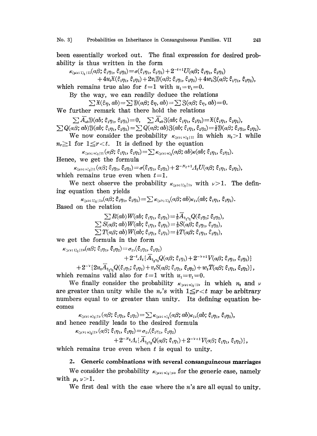been essentially worked out. The final expression for desired probability is thus written in the form

$$
\kappa_{\scriptscriptstyle (\mu\nu;\,1)_t+11}(\alpha\beta;\,\xi_1\eta_1,\,\xi_2\eta_2)\!=\!\sigma(\xi_1\eta_1,\,\xi_2\eta_2)+2^{-t+1}U(\alpha\beta;\,\xi_1\eta_1,\,\xi_2\eta_2)
$$

 $+4u_t\mathfrak{X}(\xi_1\eta_1,\xi_2\eta_2)+2v_t\mathfrak{Y}(a\beta;\xi_1\eta_1,\xi_2\eta_2)+4w_t\mathfrak{Z}(a\beta;\xi_1\eta_1,\xi_2\eta_2),$ 

which remains true also for  $t=1$  with  $u_1=v_1=0$ .

By the way, we can readily deduce the relations

$$
\sum \mathfrak{X}(\xi\eta,ab)=\sum \mathfrak{Y}(a\beta;\xi\eta,ab)=\sum \mathfrak{Z}(a\beta;\xi\eta,ab)=0.
$$

We further remark that there hold the relations

 $\sum \overline{A}_{ab} \mathfrak{Y}(ab; \xi_1 \eta_1, \xi_2 \eta_2) = 0, \quad \sum \overline{A}_{ab} \mathfrak{Z}(ab; \xi_1 \eta_1, \xi_2 \eta_2) = \mathfrak{X}(\xi_1 \eta_1, \xi_2 \eta_2), \ \sum Q(a\beta; ab) \mathfrak{Y}(ab; \xi_1 \eta_1, \xi_2 \eta_2) = \sum Q(a\beta; ab) \mathfrak{Z}(ab; \xi_1 \eta_1, \xi_2 \eta_2) = \frac{1}{2} \mathfrak{Y}(a\beta; \xi_1 \eta_1, \xi_2 \eta_2).$ 

We now consider the probability  $\kappa_{(\mu\nu;\,\nu),\,(11)}$  in which  $n_t > 1$  while  $n_r \geq 1$  for  $1 \leq r < t$ . It is defined by the equation<br> $\kappa_{(\mu\nu;\;n)_t|11}(a\beta;\; \xi_1\eta_1,\; \xi_2\eta_2) = \sum \kappa_{(\mu\nu;\;n)_t}(a\beta;\; ab)\kappa(ab;\; \xi_1\eta_1,\; \xi_2\eta_2).$ 

Hence, we get the formula

$$
\kappa_{(\mu\nu;\;n)_{t}^{(1)}}(\alpha\beta;\xi_{1}\eta_{1},\xi_{2}\eta_{2})=\sigma(\xi_{1}\eta_{1},\xi_{2}\eta_{2})+2^{-N_{t}+1}A_{t}U(\alpha\beta;\xi_{1}\eta_{1},\xi_{2}\eta_{2}),
$$
 which remains true even when  $t=1$ .

We next observe the probability  $\kappa_{(\mu\nu;\tau)}$ , with  $\nu>1$ . The defining equation then yields

 $\kappa_{\text{Q}\mu\text{V}};\mathbf{D}_{t}|\text{D}(\alpha\beta;\xi_{1}\eta_{1},\xi_{2}\eta_{2})=\sum\kappa_{\text{Q}\mu\text{V}};\mathbf{D}_{t}(\alpha\beta;\alpha b)\kappa_{\text{D}}(ab;\xi_{1}\eta_{1},\xi_{2}\eta_{2}).$ Based on the relation

> $\sum R(ab)W(ab; \xi_1\eta_1, \xi_2\eta_2) = \frac{1}{2}\overline{A}_{\xi_1\eta_1}Q(\xi_1\eta_1; \xi_2\eta_2),$  $\sum S(a\beta; ab) W(ab; \xi_1\eta_1, \xi_2\eta_2) = \frac{1}{2} S(a\beta; \xi_1\eta_1, \xi_2\eta_2),$ <br> $\sum T(a\beta; ab) W(ab; \xi_1\eta_1, \xi_2\eta_2) = \frac{1}{4} T(a\beta; \xi_1\eta_1, \xi_2\eta_2),$

we get the formula in the form

$$
\kappa_{\text{QW1:12}_{t}111}(a\beta; \xi_{1}\eta_{1}, \xi_{2}\eta_{2}) = \sigma_{11}(\xi_{1}\eta_{1}, \xi_{2}\eta_{2}) + 2^{-t}A_{t}\{\overline{A}_{\xi_{2}\eta_{2}}Q(a\beta; \xi_{1}\eta_{1}) + 2^{-t+1}V(a\beta; \xi_{1}\eta_{1}, \xi_{2}\eta_{2})\} + 2^{-t}\{2u_{t}\overline{A}_{\xi_{1}\eta_{1}}Q(\xi_{1}\eta_{1}; \xi_{2}\eta_{2}) + v_{t}S(a\beta; \xi_{1}\eta_{1}, \xi_{2}\eta_{2}) + w_{t}T(a\beta; \xi_{1}\eta_{1}, \xi_{2}\eta_{2})\}\n\nwhich remains valid also for  $t=1$  with  $u_{1}-u_{1}=0$
$$

which remains valid also for  $t=1$  with  $u_1=v_1=0$ .

We finally consider the probability  $\kappa_{\langle \mu v_i, u \rangle_t}$  in which  $n_t$  and  $\nu$ are greater than unity while the  $n_r$ 's with  $1 \leq r < t$  may be arbitrary numbers equal to or greater than unity. Its defining equation becomes

 $\kappa_{\langle\mu\nu;\;n\rangle_t11\nu}(a\beta;\xi_1\eta_1,\xi_2\eta_2) = \sum \kappa_{\langle\mu\nu;\;n\rangle_t}(a\beta;ab)\kappa_{1\nu}(ab;\xi_1\eta_1,\xi_2\eta_2),$ and hence readily leads to the desired formula

$$
\kappa_{\langle\mu\nu;\,n\rangle_t|1^{\mathcal{V}}}(\alpha\beta;\,\xi_{{\cdot}\eta_1},\,\xi_{{\cdot}\eta_2})=\sigma_{1\nu}(\xi_{{\cdot}\eta_1},\,\xi_{{\cdot}\eta_2})\\+\,2^{-N_t}A_t\{\overline{A}_{\xi_{{\cdot}\eta_2}}Q(\alpha\beta;\,\xi_{{\cdot}\eta_1})+2^{-\nu+1}V(\alpha\beta;\,\xi_{{\cdot}\eta_1},\,\xi_{{\cdot}\eta_2})\},
$$
\nwhich remains true even when  $t$  is equal to unity.

## 2. Generic combinations with several consanguineous marriages

We consider the probability  $\kappa_{(\mu\nu;\;n)_t}$  for the generic case, namely with  $\mu, \nu > 1$ .

We first deal with the case where the  $n$ 's are all equal to unity.